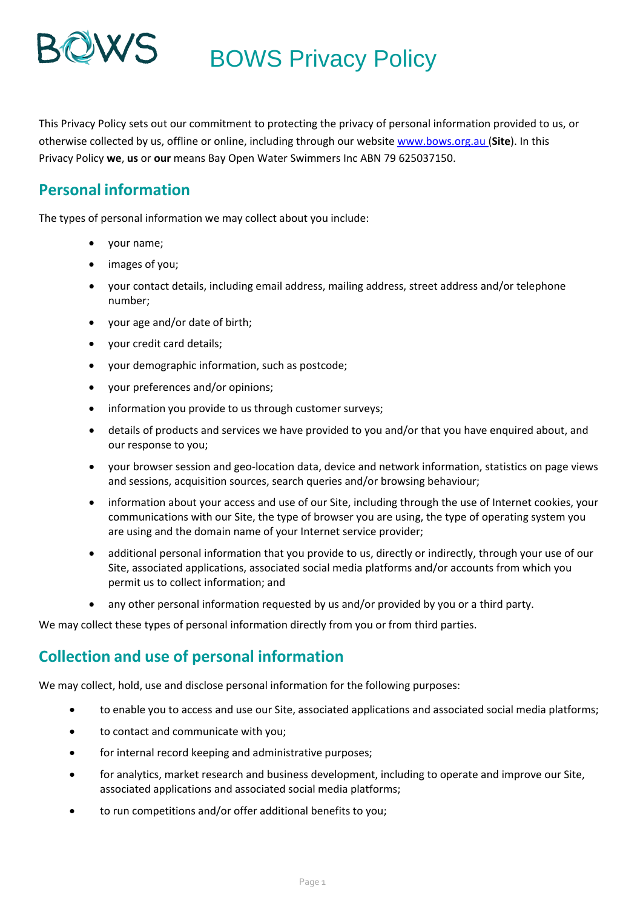

## BOWS Privacy Policy

This Privacy Policy sets out our commitment to protecting the privacy of personal information provided to us, or otherwise collected by us, offline or online, including through our website [www.bows.org.au](http://www.bows.org.au/) (**Site**). In this Privacy Policy **we**, **us** or **our** means Bay Open Water Swimmers Inc ABN 79 625037150.

### **Personal information**

The types of personal information we may collect about you include:

- your name;
- images of you;
- your contact details, including email address, mailing address, street address and/or telephone number;
- your age and/or date of birth;
- your credit card details;
- your demographic information, such as postcode;
- your preferences and/or opinions;
- information you provide to us through customer surveys;
- details of products and services we have provided to you and/or that you have enquired about, and our response to you;
- your browser session and geo-location data, device and network information, statistics on page views and sessions, acquisition sources, search queries and/or browsing behaviour;
- information about your access and use of our Site, including through the use of Internet cookies, your communications with our Site, the type of browser you are using, the type of operating system you are using and the domain name of your Internet service provider;
- additional personal information that you provide to us, directly or indirectly, through your use of our Site, associated applications, associated social media platforms and/or accounts from which you permit us to collect information; and
- any other personal information requested by us and/or provided by you or a third party.

We may collect these types of personal information directly from you or from third parties.

### **Collection and use of personal information**

We may collect, hold, use and disclose personal information for the following purposes:

- to enable you to access and use our Site, associated applications and associated social media platforms;
- to contact and communicate with you;
- for internal record keeping and administrative purposes;
- for analytics, market research and business development, including to operate and improve our Site, associated applications and associated social media platforms;
- to run competitions and/or offer additional benefits to you;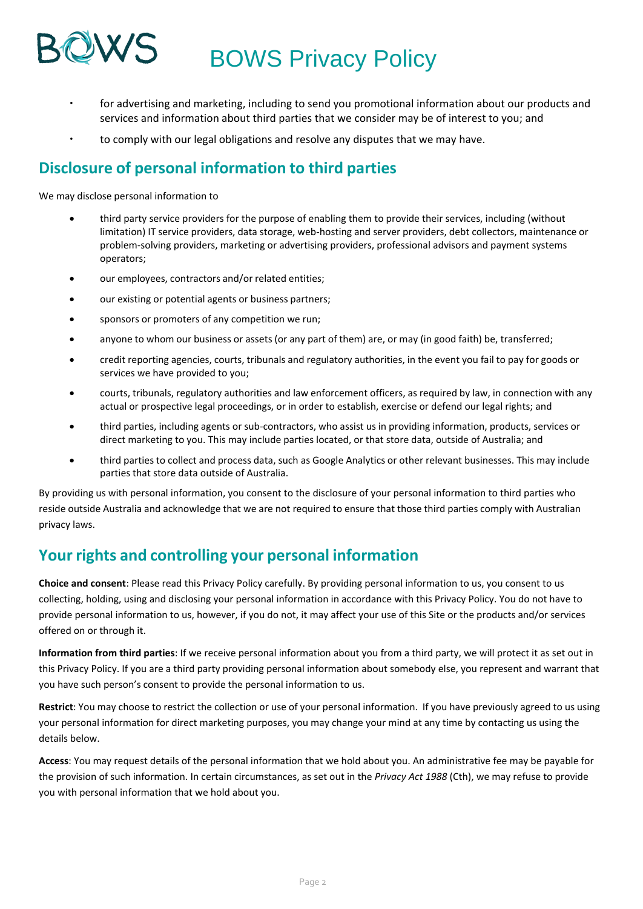# BOWS Privacy Policy

- for advertising and marketing, including to send you promotional information about our products and services and information about third parties that we consider may be of interest to you; and
- to comply with our legal obligations and resolve any disputes that we may have.

### **Disclosure of personal information to third parties**

We may disclose personal information to

- third party service providers for the purpose of enabling them to provide their services, including (without limitation) IT service providers, data storage, web-hosting and server providers, debt collectors, maintenance or problem-solving providers, marketing or advertising providers, professional advisors and payment systems operators;
- our employees, contractors and/or related entities;
- our existing or potential agents or business partners;
- sponsors or promoters of any competition we run;
- anyone to whom our business or assets (or any part of them) are, or may (in good faith) be, transferred;
- credit reporting agencies, courts, tribunals and regulatory authorities, in the event you fail to pay for goods or services we have provided to you;
- courts, tribunals, regulatory authorities and law enforcement officers, as required by law, in connection with any actual or prospective legal proceedings, or in order to establish, exercise or defend our legal rights; and
- third parties, including agents or sub-contractors, who assist us in providing information, products, services or direct marketing to you. This may include parties located, or that store data, outside of Australia; and
- third parties to collect and process data, such as Google Analytics or other relevant businesses. This may include parties that store data outside of Australia.

By providing us with personal information, you consent to the disclosure of your personal information to third parties who reside outside Australia and acknowledge that we are not required to ensure that those third parties comply with Australian privacy laws.

### **Your rights and controlling your personal information**

**Choice and consent**: Please read this Privacy Policy carefully. By providing personal information to us, you consent to us collecting, holding, using and disclosing your personal information in accordance with this Privacy Policy. You do not have to provide personal information to us, however, if you do not, it may affect your use of this Site or the products and/or services offered on or through it.

**Information from third parties**: If we receive personal information about you from a third party, we will protect it as set out in this Privacy Policy. If you are a third party providing personal information about somebody else, you represent and warrant that you have such person's consent to provide the personal information to us.

**Restrict**: You may choose to restrict the collection or use of your personal information. If you have previously agreed to us using your personal information for direct marketing purposes, you may change your mind at any time by contacting us using the details below.

**Access**: You may request details of the personal information that we hold about you. An administrative fee may be payable for the provision of such information. In certain circumstances, as set out in the *Privacy Act 1988* (Cth), we may refuse to provide you with personal information that we hold about you.